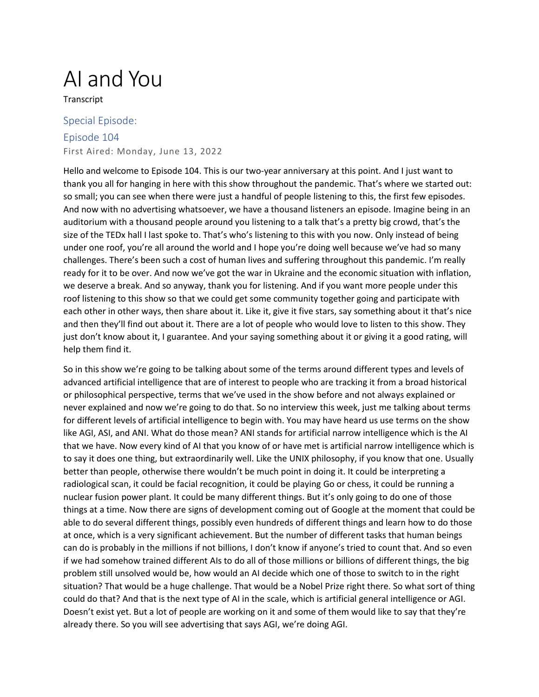## AI and You

Transcript

## Special Episode: Episode 104 First Aired: Monday, June 13, 2022

Hello and welcome to Episode 104. This is our two-year anniversary at this point. And I just want to thank you all for hanging in here with this show throughout the pandemic. That's where we started out: so small; you can see when there were just a handful of people listening to this, the first few episodes. And now with no advertising whatsoever, we have a thousand listeners an episode. Imagine being in an auditorium with a thousand people around you listening to a talk that's a pretty big crowd, that's the size of the TEDx hall I last spoke to. That's who's listening to this with you now. Only instead of being under one roof, you're all around the world and I hope you're doing well because we've had so many challenges. There's been such a cost of human lives and suffering throughout this pandemic. I'm really ready for it to be over. And now we've got the war in Ukraine and the economic situation with inflation, we deserve a break. And so anyway, thank you for listening. And if you want more people under this roof listening to this show so that we could get some community together going and participate with each other in other ways, then share about it. Like it, give it five stars, say something about it that's nice and then they'll find out about it. There are a lot of people who would love to listen to this show. They just don't know about it, I guarantee. And your saying something about it or giving it a good rating, will help them find it.

So in this show we're going to be talking about some of the terms around different types and levels of advanced artificial intelligence that are of interest to people who are tracking it from a broad historical or philosophical perspective, terms that we've used in the show before and not always explained or never explained and now we're going to do that. So no interview this week, just me talking about terms for different levels of artificial intelligence to begin with. You may have heard us use terms on the show like AGI, ASI, and ANI. What do those mean? ANI stands for artificial narrow intelligence which is the AI that we have. Now every kind of AI that you know of or have met is artificial narrow intelligence which is to say it does one thing, but extraordinarily well. Like the UNIX philosophy, if you know that one. Usually better than people, otherwise there wouldn't be much point in doing it. It could be interpreting a radiological scan, it could be facial recognition, it could be playing Go or chess, it could be running a nuclear fusion power plant. It could be many different things. But it's only going to do one of those things at a time. Now there are signs of development coming out of Google at the moment that could be able to do several different things, possibly even hundreds of different things and learn how to do those at once, which is a very significant achievement. But the number of different tasks that human beings can do is probably in the millions if not billions, I don't know if anyone's tried to count that. And so even if we had somehow trained different AIs to do all of those millions or billions of different things, the big problem still unsolved would be, how would an AI decide which one of those to switch to in the right situation? That would be a huge challenge. That would be a Nobel Prize right there. So what sort of thing could do that? And that is the next type of AI in the scale, which is artificial general intelligence or AGI. Doesn't exist yet. But a lot of people are working on it and some of them would like to say that they're already there. So you will see advertising that says AGI, we're doing AGI.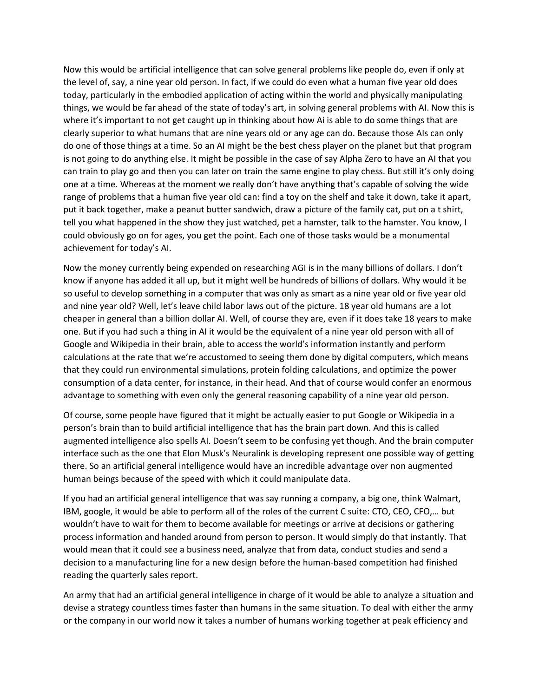Now this would be artificial intelligence that can solve general problems like people do, even if only at the level of, say, a nine year old person. In fact, if we could do even what a human five year old does today, particularly in the embodied application of acting within the world and physically manipulating things, we would be far ahead of the state of today's art, in solving general problems with AI. Now this is where it's important to not get caught up in thinking about how Ai is able to do some things that are clearly superior to what humans that are nine years old or any age can do. Because those AIs can only do one of those things at a time. So an AI might be the best chess player on the planet but that program is not going to do anything else. It might be possible in the case of say Alpha Zero to have an AI that you can train to play go and then you can later on train the same engine to play chess. But still it's only doing one at a time. Whereas at the moment we really don't have anything that's capable of solving the wide range of problems that a human five year old can: find a toy on the shelf and take it down, take it apart, put it back together, make a peanut butter sandwich, draw a picture of the family cat, put on a t shirt, tell you what happened in the show they just watched, pet a hamster, talk to the hamster. You know, I could obviously go on for ages, you get the point. Each one of those tasks would be a monumental achievement for today's AI.

Now the money currently being expended on researching AGI is in the many billions of dollars. I don't know if anyone has added it all up, but it might well be hundreds of billions of dollars. Why would it be so useful to develop something in a computer that was only as smart as a nine year old or five year old and nine year old? Well, let's leave child labor laws out of the picture. 18 year old humans are a lot cheaper in general than a billion dollar AI. Well, of course they are, even if it does take 18 years to make one. But if you had such a thing in AI it would be the equivalent of a nine year old person with all of Google and Wikipedia in their brain, able to access the world's information instantly and perform calculations at the rate that we're accustomed to seeing them done by digital computers, which means that they could run environmental simulations, protein folding calculations, and optimize the power consumption of a data center, for instance, in their head. And that of course would confer an enormous advantage to something with even only the general reasoning capability of a nine year old person.

Of course, some people have figured that it might be actually easier to put Google or Wikipedia in a person's brain than to build artificial intelligence that has the brain part down. And this is called augmented intelligence also spells AI. Doesn't seem to be confusing yet though. And the brain computer interface such as the one that Elon Musk's Neuralink is developing represent one possible way of getting there. So an artificial general intelligence would have an incredible advantage over non augmented human beings because of the speed with which it could manipulate data.

If you had an artificial general intelligence that was say running a company, a big one, think Walmart, IBM, google, it would be able to perform all of the roles of the current C suite: CTO, CEO, CFO,… but wouldn't have to wait for them to become available for meetings or arrive at decisions or gathering process information and handed around from person to person. It would simply do that instantly. That would mean that it could see a business need, analyze that from data, conduct studies and send a decision to a manufacturing line for a new design before the human-based competition had finished reading the quarterly sales report.

An army that had an artificial general intelligence in charge of it would be able to analyze a situation and devise a strategy countless times faster than humans in the same situation. To deal with either the army or the company in our world now it takes a number of humans working together at peak efficiency and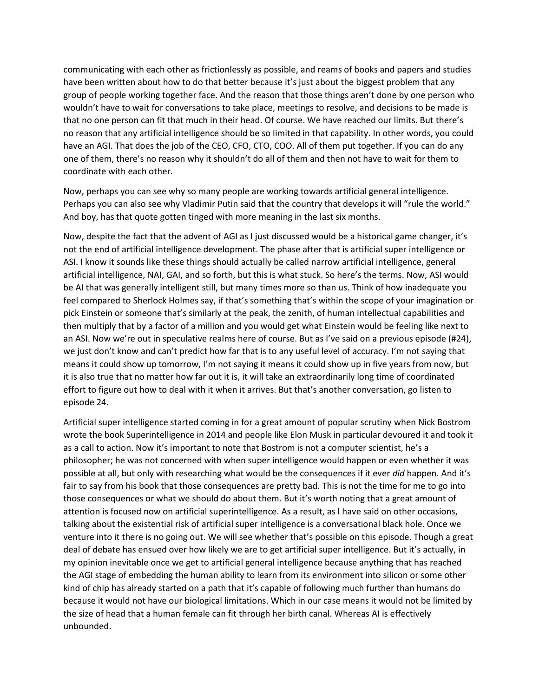communicating with each other as frictionlessly as possible, and reams of books and papers and studies have been written about how to do that better because it's just about the biggest problem that any group of people working together face. And the reason that those things aren't done by one person who wouldn't have to wait for conversations to take place, meetings to resolve, and decisions to be made is that no one person can fit that much in their head. Of course. We have reached our limits. But there's no reason that any artificial intelligence should be so limited in that capability. In other words, you could have an AGI. That does the job of the CEO, CFO, CTO, COO. All of them put together. If you can do any one of them, there's no reason why it shouldn't do all of them and then not have to wait for them to coordinate with each other.

Now, perhaps you can see why so many people are working towards artificial general intelligence. Perhaps you can also see why Vladimir Putin said that the country that develops it will "rule the world." And boy, has that quote gotten tinged with more meaning in the last six months.

Now, despite the fact that the advent of AGI as I just discussed would be a historical game changer, it's not the end of artificial intelligence development. The phase after that is artificial super intelligence or ASI. I know it sounds like these things should actually be called narrow artificial intelligence, general artificial intelligence, NAI, GAI, and so forth, but this is what stuck. So here's the terms. Now, ASI would be AI that was generally intelligent still, but many times more so than us. Think of how inadequate you feel compared to Sherlock Holmes say, if that's something that's within the scope of your imagination or pick Einstein or someone that's similarly at the peak, the zenith, of human intellectual capabilities and then multiply that by a factor of a million and you would get what Einstein would be feeling like next to an ASI. Now we're out in speculative realms here of course. But as I've said on a previous episode (#24), we just don't know and can't predict how far that is to any useful level of accuracy. I'm not saying that means it could show up tomorrow, I'm not saying it means it could show up in five years from now, but it is also true that no matter how far out it is, it will take an extraordinarily long time of coordinated effort to figure out how to deal with it when it arrives. But that's another conversation, go listen to episode 24.

Artificial super intelligence started coming in for a great amount of popular scrutiny when Nick Bostrom wrote the book Superintelligence in 2014 and people like Elon Musk in particular devoured it and took it as a call to action. Now it's important to note that Bostrom is not a computer scientist, he's a philosopher; he was not concerned with when super intelligence would happen or even whether it was possible at all, but only with researching what would be the consequences if it ever *did* happen. And it's fair to say from his book that those consequences are pretty bad. This is not the time for me to go into those consequences or what we should do about them. But it's worth noting that a great amount of attention is focused now on artificial superintelligence. As a result, as I have said on other occasions, talking about the existential risk of artificial super intelligence is a conversational black hole. Once we venture into it there is no going out. We will see whether that's possible on this episode. Though a great deal of debate has ensued over how likely we are to get artificial super intelligence. But it's actually, in my opinion inevitable once we get to artificial general intelligence because anything that has reached the AGI stage of embedding the human ability to learn from its environment into silicon or some other kind of chip has already started on a path that it's capable of following much further than humans do because it would not have our biological limitations. Which in our case means it would not be limited by the size of head that a human female can fit through her birth canal. Whereas AI is effectively unbounded.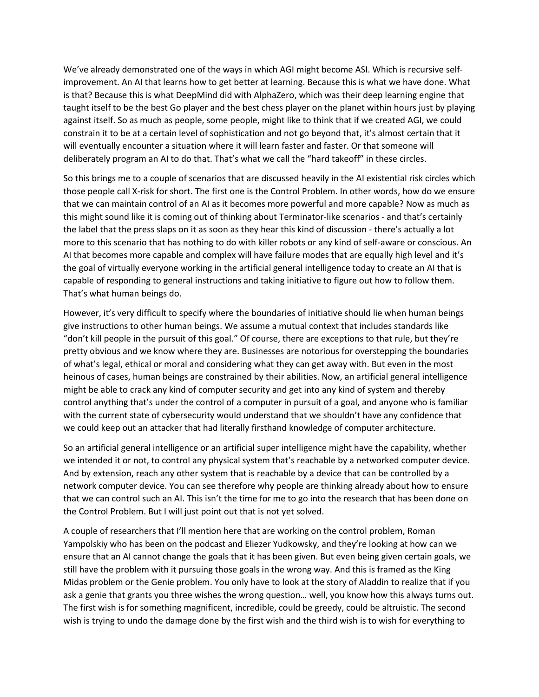We've already demonstrated one of the ways in which AGI might become ASI. Which is recursive selfimprovement. An AI that learns how to get better at learning. Because this is what we have done. What is that? Because this is what DeepMind did with AlphaZero, which was their deep learning engine that taught itself to be the best Go player and the best chess player on the planet within hours just by playing against itself. So as much as people, some people, might like to think that if we created AGI, we could constrain it to be at a certain level of sophistication and not go beyond that, it's almost certain that it will eventually encounter a situation where it will learn faster and faster. Or that someone will deliberately program an AI to do that. That's what we call the "hard takeoff" in these circles.

So this brings me to a couple of scenarios that are discussed heavily in the AI existential risk circles which those people call X-risk for short. The first one is the Control Problem. In other words, how do we ensure that we can maintain control of an AI as it becomes more powerful and more capable? Now as much as this might sound like it is coming out of thinking about Terminator-like scenarios - and that's certainly the label that the press slaps on it as soon as they hear this kind of discussion - there's actually a lot more to this scenario that has nothing to do with killer robots or any kind of self-aware or conscious. An AI that becomes more capable and complex will have failure modes that are equally high level and it's the goal of virtually everyone working in the artificial general intelligence today to create an AI that is capable of responding to general instructions and taking initiative to figure out how to follow them. That's what human beings do.

However, it's very difficult to specify where the boundaries of initiative should lie when human beings give instructions to other human beings. We assume a mutual context that includes standards like "don't kill people in the pursuit of this goal." Of course, there are exceptions to that rule, but they're pretty obvious and we know where they are. Businesses are notorious for overstepping the boundaries of what's legal, ethical or moral and considering what they can get away with. But even in the most heinous of cases, human beings are constrained by their abilities. Now, an artificial general intelligence might be able to crack any kind of computer security and get into any kind of system and thereby control anything that's under the control of a computer in pursuit of a goal, and anyone who is familiar with the current state of cybersecurity would understand that we shouldn't have any confidence that we could keep out an attacker that had literally firsthand knowledge of computer architecture.

So an artificial general intelligence or an artificial super intelligence might have the capability, whether we intended it or not, to control any physical system that's reachable by a networked computer device. And by extension, reach any other system that is reachable by a device that can be controlled by a network computer device. You can see therefore why people are thinking already about how to ensure that we can control such an AI. This isn't the time for me to go into the research that has been done on the Control Problem. But I will just point out that is not yet solved.

A couple of researchers that I'll mention here that are working on the control problem, Roman Yampolskiy who has been on the podcast and Eliezer Yudkowsky, and they're looking at how can we ensure that an AI cannot change the goals that it has been given. But even being given certain goals, we still have the problem with it pursuing those goals in the wrong way. And this is framed as the King Midas problem or the Genie problem. You only have to look at the story of Aladdin to realize that if you ask a genie that grants you three wishes the wrong question… well, you know how this always turns out. The first wish is for something magnificent, incredible, could be greedy, could be altruistic. The second wish is trying to undo the damage done by the first wish and the third wish is to wish for everything to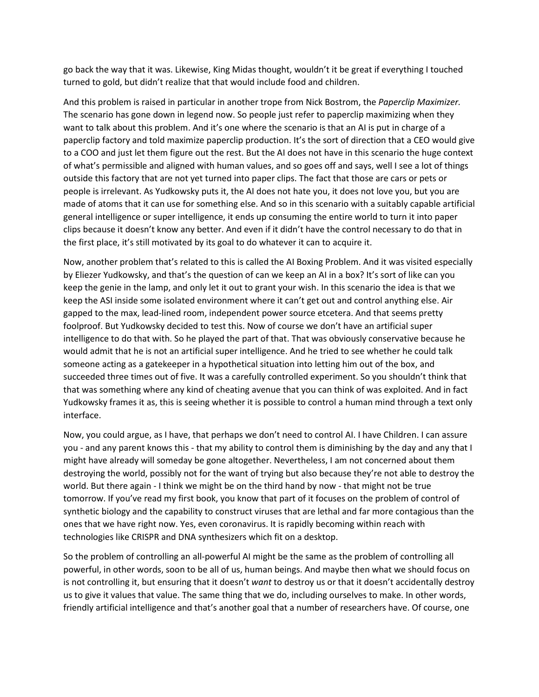go back the way that it was. Likewise, King Midas thought, wouldn't it be great if everything I touched turned to gold, but didn't realize that that would include food and children.

And this problem is raised in particular in another trope from Nick Bostrom, the *Paperclip Maximizer.*  The scenario has gone down in legend now. So people just refer to paperclip maximizing when they want to talk about this problem. And it's one where the scenario is that an AI is put in charge of a paperclip factory and told maximize paperclip production. It's the sort of direction that a CEO would give to a COO and just let them figure out the rest. But the AI does not have in this scenario the huge context of what's permissible and aligned with human values, and so goes off and says, well I see a lot of things outside this factory that are not yet turned into paper clips. The fact that those are cars or pets or people is irrelevant. As Yudkowsky puts it, the AI does not hate you, it does not love you, but you are made of atoms that it can use for something else. And so in this scenario with a suitably capable artificial general intelligence or super intelligence, it ends up consuming the entire world to turn it into paper clips because it doesn't know any better. And even if it didn't have the control necessary to do that in the first place, it's still motivated by its goal to do whatever it can to acquire it.

Now, another problem that's related to this is called the AI Boxing Problem. And it was visited especially by Eliezer Yudkowsky, and that's the question of can we keep an AI in a box? It's sort of like can you keep the genie in the lamp, and only let it out to grant your wish. In this scenario the idea is that we keep the ASI inside some isolated environment where it can't get out and control anything else. Air gapped to the max, lead-lined room, independent power source etcetera. And that seems pretty foolproof. But Yudkowsky decided to test this. Now of course we don't have an artificial super intelligence to do that with. So he played the part of that. That was obviously conservative because he would admit that he is not an artificial super intelligence. And he tried to see whether he could talk someone acting as a gatekeeper in a hypothetical situation into letting him out of the box, and succeeded three times out of five. It was a carefully controlled experiment. So you shouldn't think that that was something where any kind of cheating avenue that you can think of was exploited. And in fact Yudkowsky frames it as, this is seeing whether it is possible to control a human mind through a text only interface.

Now, you could argue, as I have, that perhaps we don't need to control AI. I have Children. I can assure you - and any parent knows this - that my ability to control them is diminishing by the day and any that I might have already will someday be gone altogether. Nevertheless, I am not concerned about them destroying the world, possibly not for the want of trying but also because they're not able to destroy the world. But there again - I think we might be on the third hand by now - that might not be true tomorrow. If you've read my first book, you know that part of it focuses on the problem of control of synthetic biology and the capability to construct viruses that are lethal and far more contagious than the ones that we have right now. Yes, even coronavirus. It is rapidly becoming within reach with technologies like CRISPR and DNA synthesizers which fit on a desktop.

So the problem of controlling an all-powerful AI might be the same as the problem of controlling all powerful, in other words, soon to be all of us, human beings. And maybe then what we should focus on is not controlling it, but ensuring that it doesn't *want* to destroy us or that it doesn't accidentally destroy us to give it values that value. The same thing that we do, including ourselves to make. In other words, friendly artificial intelligence and that's another goal that a number of researchers have. Of course, one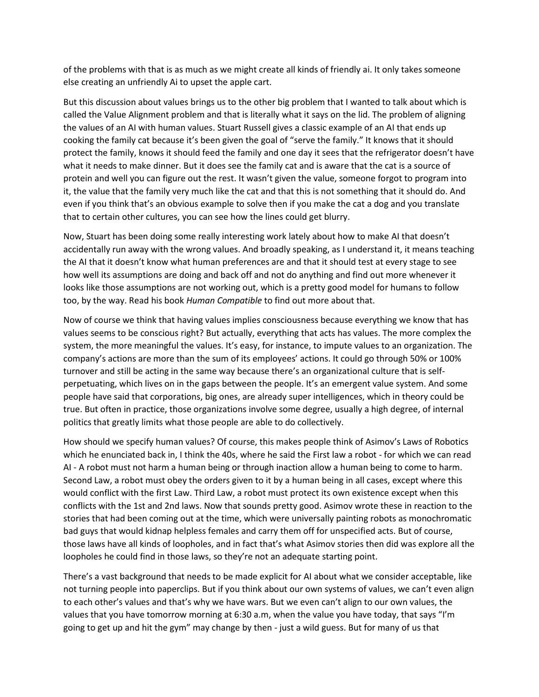of the problems with that is as much as we might create all kinds of friendly ai. It only takes someone else creating an unfriendly Ai to upset the apple cart.

But this discussion about values brings us to the other big problem that I wanted to talk about which is called the Value Alignment problem and that is literally what it says on the lid. The problem of aligning the values of an AI with human values. Stuart Russell gives a classic example of an AI that ends up cooking the family cat because it's been given the goal of "serve the family." It knows that it should protect the family, knows it should feed the family and one day it sees that the refrigerator doesn't have what it needs to make dinner. But it does see the family cat and is aware that the cat is a source of protein and well you can figure out the rest. It wasn't given the value, someone forgot to program into it, the value that the family very much like the cat and that this is not something that it should do. And even if you think that's an obvious example to solve then if you make the cat a dog and you translate that to certain other cultures, you can see how the lines could get blurry.

Now, Stuart has been doing some really interesting work lately about how to make AI that doesn't accidentally run away with the wrong values. And broadly speaking, as I understand it, it means teaching the AI that it doesn't know what human preferences are and that it should test at every stage to see how well its assumptions are doing and back off and not do anything and find out more whenever it looks like those assumptions are not working out, which is a pretty good model for humans to follow too, by the way. Read his book *Human Compatible* to find out more about that.

Now of course we think that having values implies consciousness because everything we know that has values seems to be conscious right? But actually, everything that acts has values. The more complex the system, the more meaningful the values. It's easy, for instance, to impute values to an organization. The company's actions are more than the sum of its employees' actions. It could go through 50% or 100% turnover and still be acting in the same way because there's an organizational culture that is selfperpetuating, which lives on in the gaps between the people. It's an emergent value system. And some people have said that corporations, big ones, are already super intelligences, which in theory could be true. But often in practice, those organizations involve some degree, usually a high degree, of internal politics that greatly limits what those people are able to do collectively.

How should we specify human values? Of course, this makes people think of Asimov's Laws of Robotics which he enunciated back in, I think the 40s, where he said the First law a robot - for which we can read AI - A robot must not harm a human being or through inaction allow a human being to come to harm. Second Law, a robot must obey the orders given to it by a human being in all cases, except where this would conflict with the first Law. Third Law, a robot must protect its own existence except when this conflicts with the 1st and 2nd laws. Now that sounds pretty good. Asimov wrote these in reaction to the stories that had been coming out at the time, which were universally painting robots as monochromatic bad guys that would kidnap helpless females and carry them off for unspecified acts. But of course, those laws have all kinds of loopholes, and in fact that's what Asimov stories then did was explore all the loopholes he could find in those laws, so they're not an adequate starting point.

There's a vast background that needs to be made explicit for AI about what we consider acceptable, like not turning people into paperclips. But if you think about our own systems of values, we can't even align to each other's values and that's why we have wars. But we even can't align to our own values, the values that you have tomorrow morning at 6:30 a.m, when the value you have today, that says "I'm going to get up and hit the gym" may change by then - just a wild guess. But for many of us that